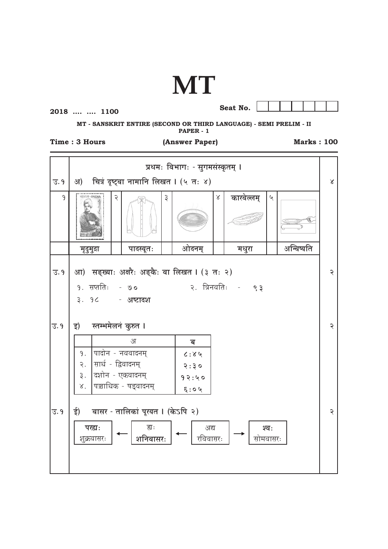## **MT**

## 2018 .... .... 1100

Seat No.



MT - SANSKRIT ENTIRE (SECOND OR THIRD LANGUAGE) - SEMI PRELIM - II PAPER - 1

## Time: 3 Hours

(Answer Paper)

**Marks: 100** 

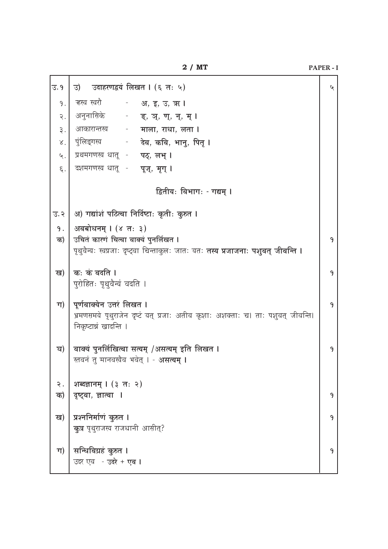| उ. १    | उदाहरणद्वयं लिखत । (६ तः ५)<br>उ)                                                          | ५ |
|---------|--------------------------------------------------------------------------------------------|---|
| 9.      | ऱ्हस्व स्वरौ                         अ, इ, उ, ऋ ।                                          |   |
| २.      | अनुनासिके - <b>ङ्, ञ्, ण्, न्, म् ।</b>                                                    |   |
| ३.      | आकारान्तस्य - माला, राधा, लता ।                                                            |   |
| γ.      | पुंलिङ्गस्य<br>-     देव, कवि, भानू, पितृ ।                                                |   |
| ५.      | प्रथमगणस्य धातू - पठ्, लभ् ।                                                               |   |
| $\xi$ . | दशमगणस्य धातू - पूज्, मृग् ।                                                               |   |
|         | द्वितीयः विभागः - गद्यम् ।                                                                 |   |
| उ. २    | अ) गद्यांशं पठित्वा निर्दिष्टाः कृतीः कुरुत ।                                              |   |
| 9.      | अवबोधनम् । (४ तः ३)                                                                        |   |
| क)      | उचितं कारणं चित्वा वाक्यं पुनर्लिखत ।                                                      | 9 |
|         | पृथुवैन्यः स्वप्रजाः दृष्ट्वा चिन्ताकुलः जातः यतः <b>तस्य प्रजाजनाः पशुवत् जीवन्ति ।</b>   |   |
| ख)      | कः कं वदति ।                                                                               | 9 |
|         | पुरोहितः पृथुवैन्यं वदति ।                                                                 |   |
| ग)      | पूर्णवाक्येन उत्तरं लिखत ।                                                                 | 9 |
|         | भ्रमणसमये पृथुराजेन दृष्टं यत् प्रजाः अतीव कृशाः अशक्ताः च। ताः पशुवत् जीवन्ति।            |   |
|         | निकृष्टान्नं खादन्ति ।                                                                     |   |
|         |                                                                                            |   |
| घ)      | वाक्यं पुनर्लिखित्वा सत्यम् /असत्यम् इति लिखत ।<br>स्तवनं तु मानवस्यैव भवेत् । - असत्यम् । | 9 |
|         |                                                                                            |   |
| २.      | शब्दज्ञानम् । (३ तः २)                                                                     |   |
| क)      | दृष्ट्वा, ज्ञात्वा ।                                                                       | 9 |
|         | प्रश्ननिर्माणं कुरुत ।                                                                     | 9 |
| ख)      | क् <b>त्र</b> पृथुराजस्य राजधानी आसीत्?                                                    |   |
|         |                                                                                            |   |
| ग)      | सन्धिविग्रहं कुरुत ।                                                                       | 9 |
|         | उदर एव - उदरे + एव ।                                                                       |   |

PAPER - I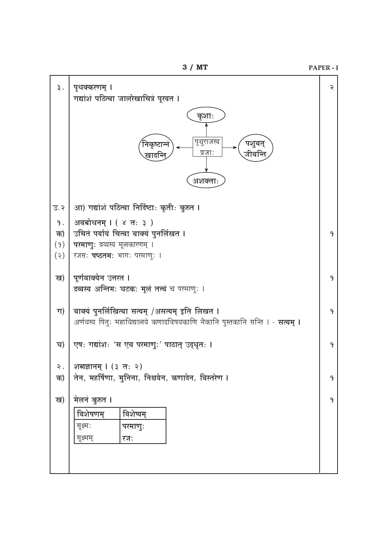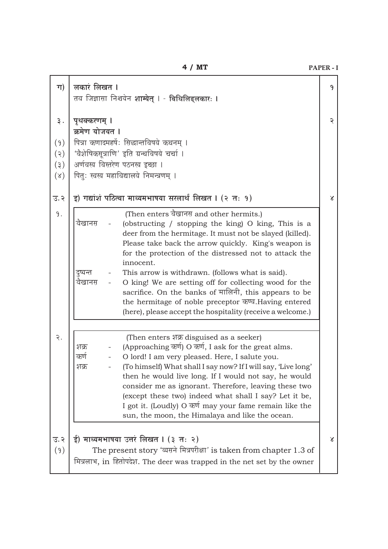| ग)                                     | लकारं लिखत ।<br>तव जिज्ञासा निश्चयेन <b>शाम्येत् । - विधिलिङ्लकारः ।</b>                                                                                                                                                                                                                                                                                                                                                                                                                                                                                                                                                | 9            |
|----------------------------------------|-------------------------------------------------------------------------------------------------------------------------------------------------------------------------------------------------------------------------------------------------------------------------------------------------------------------------------------------------------------------------------------------------------------------------------------------------------------------------------------------------------------------------------------------------------------------------------------------------------------------------|--------------|
| ३.<br>(9)<br>(5)<br>(3)<br>$(\lambda)$ | पृथक्करणम् ।<br>क्रमेण योजयत ।<br>पित्रा कणादमहर्षे: सिद्धान्तविषये कथनम् ।<br>'वैशेषिकसूत्राणि' इति ग्रन्थविषये चर्चा ।<br>अर्णवस्य विस्तरेण पठनस्य इच्छा ।<br>पितुः स्वस्य महाविद्यालये निमन्त्रणम् ।                                                                                                                                                                                                                                                                                                                                                                                                                 | २            |
| उ.२                                    | इ) गद्यांशं पठित्वा माध्यमभाषया सरलार्थं लिखत । (२ तः १)                                                                                                                                                                                                                                                                                                                                                                                                                                                                                                                                                                | $\chi$       |
| 9.                                     | (Then enters वैखानस and other hermits.)<br>वैखानस<br>(obstructing / stopping the king) O king, This is a<br>deer from the hermitage. It must not be slayed (killed).<br>Please take back the arrow quickly. King's weapon is<br>for the protection of the distressed not to attack the<br>innocent.<br>This arrow is withdrawn. (follows what is said).<br>दुष्यन्त<br>वैखानस<br>O king! We are setting off for collecting wood for the<br>sacrifice. On the banks of मालिनी, this appears to be<br>the hermitage of noble preceptor कण्व. Having entered<br>(here), please accept the hospitality (receive a welcome.) |              |
| २.                                     | (Then enters शक्र disguised as a seeker)<br>(Approaching कर्ण) O कर्ण, I ask for the great alms.<br>शक्र<br>O lord! I am very pleased. Here, I salute you.<br>कर्ण<br>(To himself) What shall I say now? If I will say, 'Live long'<br>शक्र<br>then he would live long. If I would not say, he would<br>consider me as ignorant. Therefore, leaving these two<br>(except these two) indeed what shall I say? Let it be,<br>I got it. (Loudly) O कर्ण may your fame remain like the<br>sun, the moon, the Himalaya and like the ocean.                                                                                   |              |
| उ.२<br>(9)                             | ई) माध्यमभाषया उत्तरं लिखत । (३ तः २)<br>The present story 'व्यसने मित्रपरीक्षा' is taken from chapter 1.3 of<br>मित्रलाभ, in हितोपदेश. The deer was trapped in the net set by the owner                                                                                                                                                                                                                                                                                                                                                                                                                                | $\mathbf{X}$ |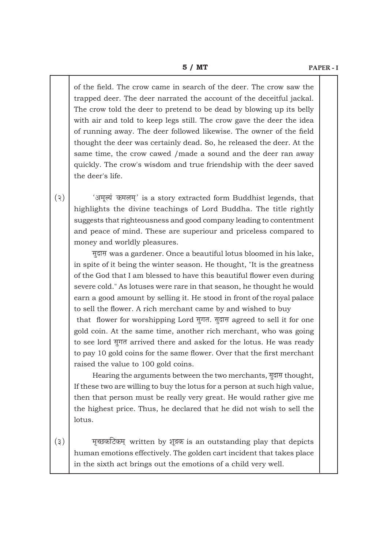of the field. The crow came in search of the deer. The crow saw the trapped deer. The deer narrated the account of the deceitful jackal. The crow told the deer to pretend to be dead by blowing up its belly with air and told to keep legs still. The crow gave the deer the idea of running away. The deer followed likewise. The owner of the field thought the deer was certainly dead. So, he released the deer. At the same time, the crow cawed /made a sound and the deer ran away quickly. The crow's wisdom and true friendship with the deer saved the deer's life.

(२)  $\bigcup$  'अमूल्यं कमलम्' is a story extracted form Buddhist legends, that highlights the divine teachings of Lord Buddha. The title rightly suggests that righteousness and good company leading to contentment and peace of mind. These are superiour and priceless compared to money and worldly pleasures.

सूदास was a gardener. Once a beautiful lotus bloomed in his lake, in spite of it being the winter season. He thought, "It is the greatness of the God that I am blessed to have this beautiful flower even during severe cold." As lotuses were rare in that season, he thought he would earn a good amount by selling it. He stood in front of the royal palace to sell the flower. A rich merchant came by and wished to buy

that flower for worshipping Lord सुगत. सुदास agreed to sell it for one gold coin. At the same time, another rich merchant, who was going to see lord सूगत arrived there and asked for the lotus. He was ready to pay 10 gold coins for the same flower. Over that the first merchant raised the value to 100 gold coins.

Hearing the arguments between the two merchants, सूदास thought, If these two are willing to buy the lotus for a person at such high value, then that person must be really very great. He would rather give me the highest price. Thus, he declared that he did not wish to sell the lotus.

 $(3)$  = Ferry example written by Metakehillehean outstanding play that depicts human emotions effectively. The golden cart incident that takes place in the sixth act brings out the emotions of a child very well.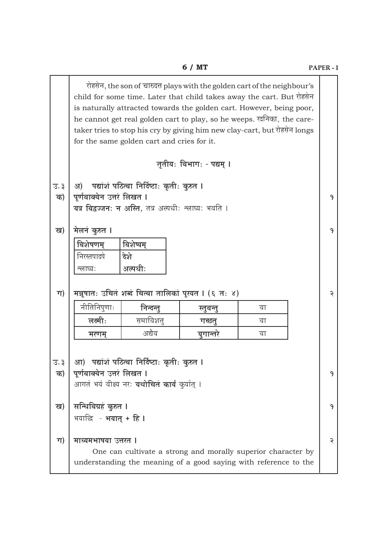|                                       |                                              |                                                                                                         | 6 / MT                   |                                                                                                                                                                                                                                                                                                                                                                                   | PAPER-I |
|---------------------------------------|----------------------------------------------|---------------------------------------------------------------------------------------------------------|--------------------------|-----------------------------------------------------------------------------------------------------------------------------------------------------------------------------------------------------------------------------------------------------------------------------------------------------------------------------------------------------------------------------------|---------|
|                                       |                                              | for the same golden cart and cries for it.                                                              |                          | रोहसेन, the son of चारुदत्त plays with the golden cart of the neighbour's<br>child for some time. Later that child takes away the cart. But रोहसेन<br>is naturally attracted towards the golden cart. However, being poor,<br>he cannot get real golden cart to play, so he weeps. रदनिका, the care-<br>taker tries to stop his cry by giving him new clay-cart, but रोहसेन longs |         |
|                                       |                                              |                                                                                                         | तृतीयः विभागः - पद्यम् । |                                                                                                                                                                                                                                                                                                                                                                                   |         |
| $\overline{3}$ . $\overline{3}$<br>क) | अ)<br>पूर्णवाक्येन उत्तरं लिखत ।             | पद्यांशं पठित्वा निर्दिष्टाः कृतीः कुरुत ।<br>यत्र विद्वज्जनः न अस्ति, तत्र अल्पधीः श्लाघ्यः भवति ।     |                          |                                                                                                                                                                                                                                                                                                                                                                                   | 9       |
| ख)                                    | मेलनं कुरुत ।                                |                                                                                                         |                          |                                                                                                                                                                                                                                                                                                                                                                                   | 9       |
|                                       | विशेषणम्<br>निरस्तपादपे<br>श्लाध्य:          | विशेष्यम्<br>देशे<br>अल्पधीः                                                                            |                          |                                                                                                                                                                                                                                                                                                                                                                                   |         |
| ग)                                    |                                              | मञ्जूषातः उचितं शब्दं चित्वा तालिकां पूरयत I (६ तः ४)                                                   |                          |                                                                                                                                                                                                                                                                                                                                                                                   | ২       |
|                                       | नीतिनिपूणाः                                  | निन्दन्तू                                                                                               | स्तुवन्तु                | वा                                                                                                                                                                                                                                                                                                                                                                                |         |
|                                       | लक्ष्मी:                                     | समाविशतु                                                                                                | गच्छन्                   | वा                                                                                                                                                                                                                                                                                                                                                                                |         |
|                                       | मरणम्                                        | अद्यैव                                                                                                  | युगान्तरे                | वा                                                                                                                                                                                                                                                                                                                                                                                |         |
| $\overline{3}$ . $\overline{3}$<br>क) | पूर्णवाक्येन उत्तरं लिखत ।                   | आ)  पद्यांशं पठित्वा निर्दिष्टाः कृतीः कुरुत ।<br>आगतं भयं वीक्ष्य नर: <b>यथोचितं कार्यं</b> कुर्यात् । |                          |                                                                                                                                                                                                                                                                                                                                                                                   | 9       |
| ख)                                    | सन्धिविग्रहं कुरुत ।<br>भयाछि - भयात् + हि । |                                                                                                         |                          |                                                                                                                                                                                                                                                                                                                                                                                   | 9       |
| ग)                                    | माध्यमभाषया उत्तरत ।                         |                                                                                                         |                          | One can cultivate a strong and morally superior character by<br>understanding the meaning of a good saying with reference to the                                                                                                                                                                                                                                                  | २       |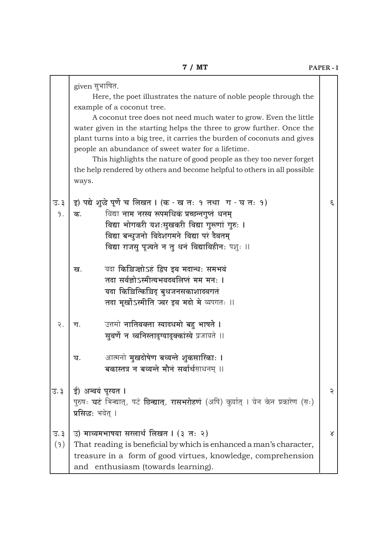|                                        | given सुभाषित.<br>Here, the poet illustrates the nature of noble people through the<br>example of a coconut tree.<br>A coconut tree does not need much water to grow. Even the little<br>water given in the starting helps the three to grow further. Once the<br>plant turns into a big tree, it carries the burden of coconuts and gives<br>people an abundance of sweet water for a lifetime.<br>This highlights the nature of good people as they too never forget<br>the help rendered by others and become helpful to others in all possible<br>ways. |          |
|----------------------------------------|-------------------------------------------------------------------------------------------------------------------------------------------------------------------------------------------------------------------------------------------------------------------------------------------------------------------------------------------------------------------------------------------------------------------------------------------------------------------------------------------------------------------------------------------------------------|----------|
| $\overline{3}$ . $\overline{3}$<br>9.  | इ) पद्ये शुद्धे पूर्णे च लिखत । (क - ख तः १ तथा ग - घ तः १)<br>विद्या नाम नरस्य रूपमधिकं प्रच्छन्नगुप्तं धनम्<br>क.<br>विद्या भोगकरी यशःसुखकरी विद्या गुरूणां गुरुः ।<br>विद्या बन्धुजनो विदेशगमने विद्या परं दैवतम्<br>विद्या राजसु पूज्यते न तु धनं विद्याविहीन: पशुः ॥                                                                                                                                                                                                                                                                                   | ξ.       |
|                                        | यदा किञ्चिज्ज्ञोऽहं द्विप इव मदान्धः समभवं<br>ख.<br>तदा सर्वज्ञोऽस्मीत्यभवदवलिप्तं मम मनः ।<br>यदा किञ्चित्किञ्चिद् बुधजनसकाशादवगतं<br>तदा मूर्खोऽस्मीति ज्वर इव मदो मे व्यपगतः ॥                                                                                                                                                                                                                                                                                                                                                                           |          |
| २.                                     | उत्तमो नातिवक्ता स्यादधमो बहु भाषते ।<br>ग.<br>सूवर्णे न ध्वनिस्तादृग्यादृक्कांस्ये प्रजायते ॥                                                                                                                                                                                                                                                                                                                                                                                                                                                              |          |
|                                        | आत्मनो <b>मुखदोषेण बध्यन्ते शुकसारिकाः ।</b><br>घ.<br>बकास्तत्र न बध्यन्ते मौनं सर्वार्थसाधनम् ॥                                                                                                                                                                                                                                                                                                                                                                                                                                                            |          |
| उ. ३                                   | ई) अन्वयं पूरयत ।<br>पुरुषः घटं भिन्द्यात्, पटं छिन्द्यात्, रासभरोहणं (अपि) कुर्यात् । येन केन प्रकारेण (सः)<br>प्रसिद्धः भवेत् ।                                                                                                                                                                                                                                                                                                                                                                                                                           | ২        |
| $\overline{3}$ . $\overline{3}$<br>(9) | उ) माध्यमभाषया सरलार्थं लिखत । (३ तः २)<br>That reading is beneficial by which is enhanced a man's character,<br>treasure in a form of good virtues, knowledge, comprehension<br>and enthusiasm (towards learning).                                                                                                                                                                                                                                                                                                                                         | $\alpha$ |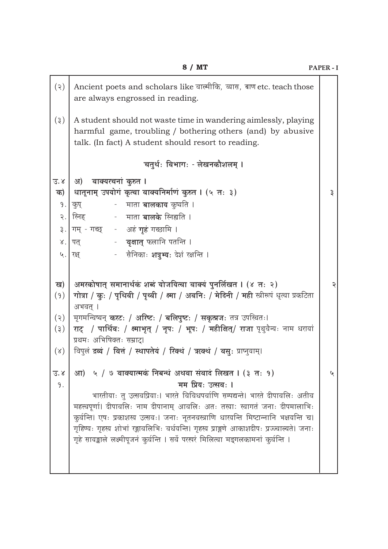|                                        | 8 / MT                                                                                                                                                                                                                                                                                                                                                                                                                                                                                                                              | PAPER-I |
|----------------------------------------|-------------------------------------------------------------------------------------------------------------------------------------------------------------------------------------------------------------------------------------------------------------------------------------------------------------------------------------------------------------------------------------------------------------------------------------------------------------------------------------------------------------------------------------|---------|
| (5)                                    | Ancient poets and scholars like वाल्मीकि, व्यास, बाण etc. teach those<br>are always engrossed in reading.                                                                                                                                                                                                                                                                                                                                                                                                                           |         |
| (3)                                    | A student should not waste time in wandering aimlessly, playing<br>harmful game, troubling / bothering others (and) by abusive<br>talk. (In fact) A student should resort to reading.                                                                                                                                                                                                                                                                                                                                               |         |
|                                        | चतुर्थः विभागः - लेखनकौशलम् ।                                                                                                                                                                                                                                                                                                                                                                                                                                                                                                       |         |
| उ.४<br>क)<br>9.1<br>$\mathcal{U}$ .    | वाक्यरचनां कुरुत ।<br>आ)<br>धातूनाम् उपयोगं कृत्वा वाक्यनिर्माणं कुरुत । (५ तः ३)<br>३. गम् - गच्छ     -    अहं गृहं गच्छामि ।<br>रक्ष्                       सैनिकाः <b>शत्रुभ्यः</b> देशं रक्षन्ति ।                                                                                                                                                                                                                                                                                                                              | ३       |
| ख)<br>(9)<br>(5)<br>(3)<br>$(\lambda)$ | अमरकोषात् समानार्थकं शब्दं योजयित्वा वाक्यं पुनर्लिखत । (४ तः २)<br>गोत्रा / कुः / पृथिवी / पृथ्वी / क्ष्मा / अवनिः / मेदिनी / मही स्त्रीरूपं धृत्वा प्रकटिता<br>अभवत् ।<br>मृगमन्विष्यन् <b>करटः / अरिष्टः / बलिपुष्टः / सकृत्प्रजः</b> तत्र उपस्थितः।<br>राट् / पार्थिवः / क्ष्माभृत् / नृपः / भूपः / महीक्षित्/ राजा पृथुवैन्यः नाम धरायां<br>प्रथमः अभिषिक्तः सम्राट्।<br>विपुलं द्रव्यं / वित्तं / स्थापतेयं / रिक्थं / ऋक्थं / वसुः प्राप्नुयाम्।                                                                             | ২       |
| उ.४<br>9.                              | आ) ५ / ७ वाक्यात्मकं निबन्धं अथवा संवादं लिखत । (३ तः १)<br>मम प्रियः उत्सवः ।<br>भारतीयाः तु उत्सवप्रियाः। भारते विविधपर्वाणि सम्पद्यन्ते। भारते दीपावलिः अतीव<br>महत्त्वपूर्णा। दीपावलिः नाम दीपानाम् आवलिः अतः तस्या: स्वागतं जनाः दीपमालाभिः<br>कुर्वन्ति। एषः प्रकाशस्य उत्सवः। जनाः नूतनवस्त्राणि धारयन्ति मिष्टान्नानि भक्षयन्ति च।<br>गृहिण्यः गृहस्य शोभां रङ्गावलिभिः वर्धयन्ति। गृहस्य प्राङ्गणे आकाशदीपः प्रज्ज्वाल्यते। जनाः<br>गृहे सायङ्काले लक्ष्मीपूजनं कुर्वन्ति । सर्वे परस्परं मिलित्वा मङ्गलकामनां कुर्वन्ति । | ५       |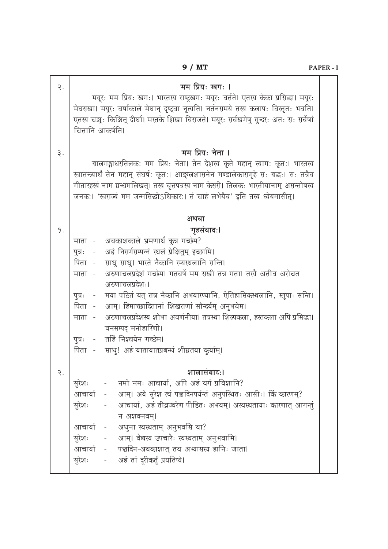| $\overline{R}$ . | मम प्रियः खगः ।<br>मयूरः मम प्रियः खगः। भारतस्य राष्ट्रखगः मयूरः वर्तते। एतस्य केका प्रसिद्धा। मयूरः<br>मेघसखा। मयूरः वर्षाकाले मेघान् दृष्ट्वा नृत्यति। नर्तनसमये तस्य कलापः विस्तृतः भवति।<br>एतस्य चञ्चः किञ्चित् दीर्घा। मस्तके शिखा विराजते। मयूरः सर्वखगेषु सुन्दरः अतः सः सर्वेषां<br>चित्तानि आकर्षति।                                                                                                                                                                                                                                                                                                                                     |  |
|------------------|----------------------------------------------------------------------------------------------------------------------------------------------------------------------------------------------------------------------------------------------------------------------------------------------------------------------------------------------------------------------------------------------------------------------------------------------------------------------------------------------------------------------------------------------------------------------------------------------------------------------------------------------------|--|
| ३.               | मम प्रियः नेता ।<br>बालगङ्गाधरतिलकः मम प्रियः नेता। तेन देशस्य कृते महान् त्यागः कृतः। भारतस्य<br>खातन्त्र्यार्थं तेन महान् संघर्ष: कृत:। आङ्ग्लशासनेन मण्डालेकारागृहे सः बद्धः। सः तत्रैव<br>गीतारहस्यं नाम ग्रन्थमलिखत्। तस्य वृत्तपत्रस्य नाम केसरी। तिलकः भारतीयानाम् असन्तोषस्य<br>जनकः। 'स्वराज्यं मम जन्मसिद्धोऽधिकारः। तं चाहं लभेयैव' इति तस्य ध्येयमासीत्।                                                                                                                                                                                                                                                                               |  |
|                  | अथवा                                                                                                                                                                                                                                                                                                                                                                                                                                                                                                                                                                                                                                               |  |
| 9.               | गृहसंवादः।<br>अवकाशकाले भ्रमणार्थं कुत्र गच्छेम?<br>माता -<br>अहं निसर्गसम्पन्नं स्थलं प्रेक्षितुम् इच्छामि।<br>पुत्रः -<br>साधु साधु। भारते नैकानि रम्यस्थलानि सन्ति।<br>पिता -<br>अरुणाचलप्रदेशं गच्छेम। गतवर्षे मम सखी तत्र गता। तस्यै अतीव अरोचत<br>माता -<br>अरुणाचलप्रदेश:।<br>मया पठितं यत् तत्र नैकानि अभयारण्यानि, ऐतिहासिकस्थलानि, स्तूपाः सन्ति।<br>पुत्रः -<br>पिता - आम्। हिमाच्छादितानां शिखराणां सौन्दर्यम् अनुभवेम।<br>अरुणाचलप्रदेशस्य शोभा अवर्णनीया। तत्रस्था शिल्पकला, हस्तकला अपि प्रसिद्धा।<br>माता -<br>वनसम्पद् मनोहारिणी।<br>- तर्हि निश्चयेन गच्छेम।<br>पूत्रः<br>साधु! अहं यातायातप्रबन्धं शीघ्रतया कुर्याम्।<br>पिता - |  |
| २.               | शालासंवादः।<br>नमो नमः आचार्या, अपि अहं वर्गं प्रविशानि?<br>सूरेशः<br>आम्। अये सुरेश त्वं पञ्चदिनपर्यन्तं अनुपस्थितः आसीः। किं कारणम्?<br>आचार्या -<br>आचार्या, अहं तीव्रज्वरेण पीडितः अभवम्। अस्वस्थतायाः कारणात् आगन्तुं<br>सुरेशः<br>न अशक्नवम्।<br>अधुना स्वस्थताम् अनुभवसि वा?<br>आचार्या -<br>आम्। वैद्यस्य उपचारैः स्वस्थताम् अनुभवामि।<br>सुरेशः<br>आचार्या - पञ्चदिन-अवकाशात् तव अभ्यासस्य हानिः जाता।<br>अहं तां दूरीकर्तुं प्रयतिष्ये।<br>सुरेशः<br>$\blacksquare$                                                                                                                                                                      |  |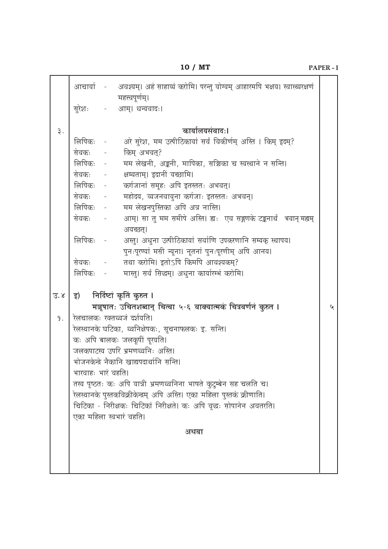|                  |                    | आचार्या - अवश्यम्। अहं साहाय्यं करोमि। परन्तु योग्यम् आहारमपि भक्षय। स्वास्थ्यरक्षणं |   |
|------------------|--------------------|--------------------------------------------------------------------------------------|---|
|                  | सुरेशः             | महत्त्वपूर्णम्।<br>- आम्। धन्यवादः।                                                  |   |
|                  |                    |                                                                                      |   |
| ३.               |                    | कार्यालयसंवादः।                                                                      |   |
|                  |                    | लिपिकः - अरे सुरेश, मम उत्पीठिकायां सर्वं विकीर्णम् अस्ति । किम् इदम्?               |   |
|                  |                    | सेवकः - किम् अभवत्?                                                                  |   |
|                  |                    | लिपिकः - मम लेखनी, अङ्कनी, मापिका, सञ्चिका च स्वस्थाने न सन्ति।                      |   |
|                  |                    | सेवकः - क्षम्यताम्। इदानीं यच्छामि।                                                  |   |
|                  |                    | लिपिकः - कर्गजानां समूहः अपि इतस्ततः अभवत्।                                          |   |
|                  | सेवकः -            | महोदय, व्यजनवायुना कर्गजाः इतस्ततः अभवन्।                                            |   |
|                  | लिपिकः -           | मम लेखनपुस्तिका अपि अत्र नास्ति।                                                     |   |
|                  | सेवकः -            | आम्। सा तु मम समीपे अस्ति। ह्यः एव सङ्गणके टङ्कनार्थं भवान् मह्यम्<br>अयच्छत्।       |   |
|                  | लिपिकः -           | अस्तु। अधुना उत्पीठिकायां सर्वाणि उपकरणानि सम्यक् स्थापय।                            |   |
|                  |                    | पुनःपूरण्यां मसी न्यूना। नूतनां पुनःपूरणीम् अपि आनय।                                 |   |
|                  |                    | सेवकः - तथा करोमि। इतोऽपि किमपि आवश्यकम्?                                            |   |
|                  | लिपिकः             | मास्तु। सर्वं सिद्धम्। अधुना कार्यारम्भं करोमि।                                      |   |
|                  |                    |                                                                                      |   |
| $\overline{3}.8$ |                    | इ) निर्दिष्टां कृतिं कुरुत ।                                                         |   |
|                  |                    | मञ्जूषातः उचितशब्दान् चित्वा ५-६ वाक्यात्मकं चित्रवर्णनं कुरुत ।                     | ५ |
| 9.               |                    | रेलचालकः रक्तध्वजं दर्शयति।                                                          |   |
|                  |                    | रेलस्थानके घटिका, ध्वनिक्षेपकः, सूचनाफलकः इ. सन्ति।                                  |   |
|                  |                    | कः अपि बालकः जलकूपीं पूरयति।                                                         |   |
|                  |                    | जलकपाटस्य उपरि भ्रमणध्वनिः अस्ति।                                                    |   |
|                  |                    | भोजनकेन्द्रे नैकानि खाद्यपदार्थानि सन्ति।                                            |   |
|                  | भारवाहः भारं वहति। |                                                                                      |   |
|                  |                    | तस्य पृष्ठतः कः अपि यात्री भ्रमणध्वनिना भाषते कुटुम्बेन सह चलति च।                   |   |
|                  |                    | रेलस्थानके पुस्तकविक्रीकेन्द्रम् अपि अस्ति। एका महिला पुस्तकं क्रीणाति।              |   |
|                  |                    | चिटिका - निरीक्षकः चिटिकां निरीक्षते। कः अपि वृद्धः सोपानेन अवतरति।                  |   |
|                  |                    | एका महिला स्वभारं वहति।                                                              |   |
|                  |                    |                                                                                      |   |
|                  |                    | अथवा                                                                                 |   |
|                  |                    |                                                                                      |   |
|                  |                    |                                                                                      |   |
|                  |                    |                                                                                      |   |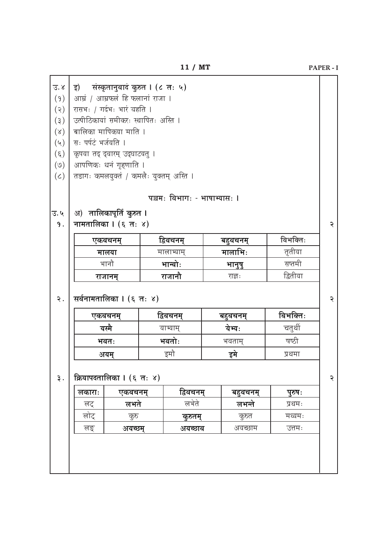| इ)                                   | संस्कृतानुवादं कुरुत । (८ तः ५)         |  |                              |  |          |          |  |  |  |
|--------------------------------------|-----------------------------------------|--|------------------------------|--|----------|----------|--|--|--|
|                                      | आम्रं / आम्रफलं हि फलानां राजा ।        |  |                              |  |          |          |  |  |  |
| रासभः / गर्दभः भारं वहति ।           |                                         |  |                              |  |          |          |  |  |  |
| उत्पीठिकायां समीकरः स्थापितः अस्ति । |                                         |  |                              |  |          |          |  |  |  |
| बालिका मापिकया माति ।                |                                         |  |                              |  |          |          |  |  |  |
| सः पर्पटं भर्जयति ।                  |                                         |  |                              |  |          |          |  |  |  |
|                                      | कृपया तद् द्वारम् उद्घाटयतु ।           |  |                              |  |          |          |  |  |  |
|                                      | आपणिकः धनं गृहणाति ।                    |  |                              |  |          |          |  |  |  |
|                                      | तडागः कमलयुक्तं / कमलैः युक्तम् अस्ति । |  |                              |  |          |          |  |  |  |
|                                      |                                         |  | पञ्चमः विभागः - भाषाभ्यासः । |  |          |          |  |  |  |
|                                      | अ) तालिकापूर्तिं कुरुत ।                |  |                              |  |          |          |  |  |  |
|                                      | नामतालिका । (६ तः ४)                    |  |                              |  |          |          |  |  |  |
|                                      | एकवचनम्                                 |  | द्विवचनम्                    |  | बहुवचनम् | विभक्तिः |  |  |  |
|                                      |                                         |  | मालाभ्याम्                   |  | मालाभिः  | तृतीया   |  |  |  |
|                                      | मालया                                   |  |                              |  |          | सप्तमी   |  |  |  |
|                                      | भानौ                                    |  | भान्वोः                      |  | भानुषु   |          |  |  |  |
|                                      | राजानम्                                 |  | राजानौ                       |  | राज्ञ:   | द्वितीया |  |  |  |
|                                      | सर्वनामतालिका । (६ तः ४)<br>एकवचनम्     |  | द्विवचनम्                    |  | बहुवचनम् | विभक्तिः |  |  |  |
|                                      | यस्मै                                   |  | याभ्याम्                     |  | येभ्यः   | चतुर्थी  |  |  |  |
|                                      | भवतः                                    |  | भवतोः                        |  | भवताम्   | षष्ठी    |  |  |  |
|                                      | अयम्                                    |  | इमौ                          |  | इमे      | प्रथमा   |  |  |  |
|                                      | क्रियापदनालिका । (६ नः ४)               |  |                              |  |          |          |  |  |  |
| लकाराः                               | एकवचनम्                                 |  | द्विवचनम्                    |  | बहुवचनम् | पुरुषः   |  |  |  |
| लट्                                  | लभते                                    |  | लभेते                        |  | लभन्ते   | प्रथमः   |  |  |  |
| लोट्                                 | कुरु                                    |  | कुरुतम्                      |  | कुरुत    | मध्यमः   |  |  |  |

PAPER - I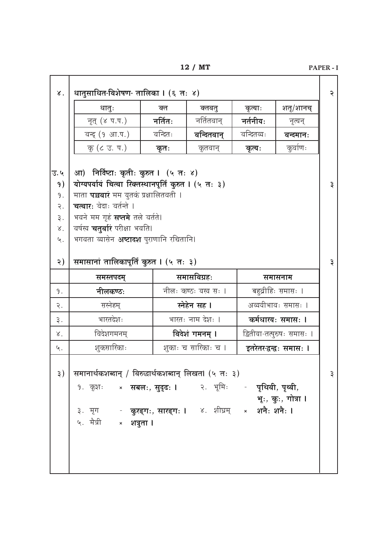|                    |                                                                                  |                  | 12 / MI              |                            |                            | PAPER - |
|--------------------|----------------------------------------------------------------------------------|------------------|----------------------|----------------------------|----------------------------|---------|
| $\lambda$ .        | धातुसाधित-विशेषण- तालिका । (६ तः ४)                                              |                  |                      |                            |                            | २       |
|                    | धानुः                                                                            | क्त              | क्तवतु               | कृत्याः                    | शतृ/शानच्                  |         |
|                    | नृत् (४ प.प.)                                                                    | नर्तितः          | नर्तितवान्           | नर्तनीयः                   | नृत्यन्                    |         |
|                    | वन्द् (१ आ.प.)                                                                   | वन्दितः          | वन्दितवान्           | वन्दितव्यः                 | वन्दमानः                   |         |
|                    | कु (८ उ. प.)                                                                     | कृतः             | कृतवान्              | कृत्यः                     | कुर्वाणः                   |         |
|                    |                                                                                  |                  |                      |                            |                            |         |
| उ. ५               | आ) निर्दिष्टाः कृतीः कुरुत । (५ तः ४)                                            |                  |                      |                            |                            |         |
| 9)                 | योग्यपर्यायं चित्वा रिक्तस्थानपूर्तिं कुरुत । (५ तः ३)                           |                  |                      |                            |                            | ३       |
| 9.                 | माता <b>पञ्चवारं</b> मम युतकं प्रक्षालितवती ।                                    |                  |                      |                            |                            |         |
| २.<br>३.           | चत्वार: वेदाः वर्तन्ते ।<br>भवने मम गृहं सप्तमे तले वर्तते।                      |                  |                      |                            |                            |         |
| $\lambda^{\prime}$ | वर्षस्य <b>चतुर्वारं</b> परीक्षा भवति।                                           |                  |                      |                            |                            |         |
| ५.                 | भगवता व्यासेन अष्टादश पुराणानि रचितानि।                                          |                  |                      |                            |                            |         |
|                    |                                                                                  |                  |                      |                            |                            |         |
| २)                 | समासानां तालिकापूर्तिं कुरुत । (५ तः ३)                                          |                  |                      |                            |                            | ३       |
|                    | समस्तपदम्                                                                        |                  | समासविग्रहः          |                            | समासनाम                    |         |
| 9.                 | नीलकण्ठः                                                                         |                  | नीलः कण्ठः यस्य सः । |                            | बहुव्रीहिः समासः ।         |         |
| २.                 | सस्नेहम्                                                                         |                  | स्नेहेन सह ।         |                            | अव्ययीभावः समासः ।         |         |
| ३.                 | भारतदेशः                                                                         |                  | भारतः नाम देशः ।     |                            | कर्मधारयः समासः ।          |         |
| $\chi^{\cdot}$     | विदेशगमनम्                                                                       |                  | विदेशं गमनम् ।       |                            | द्वितीया-तत्पुरुषः समासः । |         |
| ५.                 | शुकसारिकाः                                                                       |                  | शुकाः च सारिकाः च ।  |                            | इतरेतर-द्वन्द्वः समासः ।   |         |
|                    |                                                                                  |                  |                      |                            |                            |         |
| ३)                 | समानार्थकशब्दान् / विरुद्धार्थकशब्दान् लिखत। (५ तः ३)                            |                  |                      |                            |                            | ३       |
|                    | १. कृशः                                                                          | × सबलः, सुदृढः । |                      | २. भूमिः - पृथिवी, पृथ्वी, |                            |         |
|                    |                                                                                  |                  |                      |                            | भूः, कुः, गोत्रा ।         |         |
|                    | ३. मृग            कुरङ्गः, सारङ्गः ।      ४.   शीघ्रम्              शनैः  शनैः । |                  |                      |                            |                            |         |
|                    | ५. मैत्री <b>× शत्रुता ।</b>                                                     |                  |                      |                            |                            |         |
|                    |                                                                                  |                  |                      |                            |                            |         |
|                    |                                                                                  |                  |                      |                            |                            |         |
|                    |                                                                                  |                  |                      |                            |                            |         |

 $PAPER - I$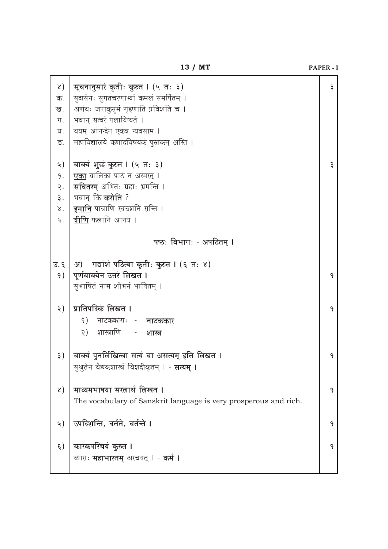|                   | 13 / MT                                                          | <b>PAPER - I</b> |
|-------------------|------------------------------------------------------------------|------------------|
| x)                | सूचनानुसारं कृतीः कुरुत । (५ तः ३)                               | ३                |
| क.                | सुदासेनः सुगतचरणाभ्यां कमलं समर्पितम् ।                          |                  |
| ख.                | अर्णवः जपाकुसुमं गृहणाति प्रविशति च ।                            |                  |
| ग.                | भवान् सत्वरं पलायिष्यते ।                                        |                  |
| घ.                | वयम् आनन्देन एकत्र न्यवसाम ।                                     |                  |
| ङ.                | महाविद्यालये कणादविषयकं पुस्तकम् अस्ति ।                         |                  |
| ५)                | वाक्यं शुद्धं कुरुत । (५ तः ३)                                   | ३                |
| 9.                | <b>एका</b> बालिका पाठं न अस्मरत् ।                               |                  |
| २.                | <mark>सवितरम्</mark> अभितः ग्रहाः भ्रमन्ति ।                     |                  |
| ३.                | भवान् किं <b>करोति</b> ?                                         |                  |
| $\lambda^{\cdot}$ | इमानि पात्राणि स्वच्छानि सन्ति ।                                 |                  |
| ५.                | <b>त्रीणि</b> फलानि आनय ।                                        |                  |
|                   | षष्ठः विभागः - अपठितम् ।                                         |                  |
| उ. ६              | अ) गद्यांशं पठित्वा कृतीः कुरुत । (६ तः ४)                       |                  |
| 9)                | पूर्णवाक्येन उत्तरं लिखत ।                                       | 9                |
|                   | सुभाषितं नाम शोभनं भाषितम् ।                                     |                  |
| २)                | प्रातिपदिकं लिखत ।                                               | 9                |
|                   | 9)<br>नाटककाराः - नाटककार                                        |                  |
|                   | शास्त्राणि - <b>शास्त्र</b><br>२)                                |                  |
| ३)                | वाक्यं पुनर्लिखित्वा सत्यं वा असत्यम् इति लिखत ।                 | J.               |
|                   | सुश्रुतेन वैद्यकशास्त्रं विशदीकृतम् । - <b>सत्यम् ।</b>          |                  |
| x)                | माध्यमभाषया सरलार्थं लिखत ।                                      | 9                |
|                   | The vocabulary of Sanskrit language is very prosperous and rich. |                  |
| <u>५)</u>         | उपदिशन्ति, वर्तते, वर्तन्ते ।                                    | 9                |
|                   |                                                                  |                  |
| ६)                | कारकपरिचयं कुरुत ।                                               | 9                |
|                   | व्यासः <b>महाभारतम्</b> अरचयत् । - <b>कर्म ।</b>                 |                  |
|                   |                                                                  |                  |